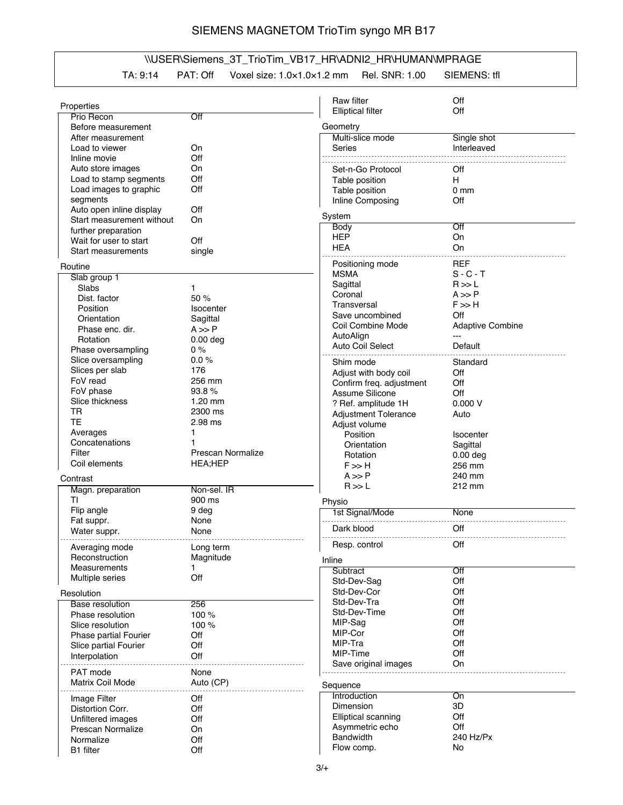## SIEMENS MAGNETOM TrioTim syngo MR B17

## \\USER\Siemens\_3T\_TrioTim\_VB17\_HR\ADNI2\_HR\HUMAN\MPRAGE

TA: 9:14 PAT: Off Voxel size: 1.0×1.0×1.2 mm Rel. SNR: 1.00 SIEMENS: tfl

|                                            |                   | Raw filter                   | Off                        |
|--------------------------------------------|-------------------|------------------------------|----------------------------|
| Properties                                 |                   | <b>Elliptical filter</b>     | Off                        |
| Prio Recon                                 | Off               |                              |                            |
| Before measurement                         |                   | Geometry<br>Multi-slice mode |                            |
| After measurement<br>Load to viewer        | On                | Series                       | Single shot<br>Interleaved |
| Inline movie                               | Off               |                              |                            |
| Auto store images                          | On                | Set-n-Go Protocol            | Off                        |
| Load to stamp segments                     | Off               | Table position               | H.                         |
| Load images to graphic                     | Off               | Table position               | 0 <sub>mm</sub>            |
| segments                                   |                   | Inline Composing             | Off                        |
| Auto open inline display                   | Off               |                              |                            |
| Start measurement without                  | On                | System                       |                            |
| further preparation                        |                   | <b>Body</b>                  | Off                        |
| Wait for user to start                     | Off               | <b>HEP</b>                   | On                         |
| <b>Start measurements</b>                  | single            | <b>HEA</b>                   | On                         |
| Routine                                    |                   | Positioning mode             | <b>REF</b>                 |
| Slab group 1                               |                   | <b>MSMA</b>                  | $S - C - T$                |
| <b>Slabs</b>                               | 1.                | Sagittal                     | R >> L                     |
| Dist. factor                               | 50 %              | Coronal                      | $A \gg P$                  |
| Position                                   | <b>Isocenter</b>  | Transversal                  | $F \gg H$                  |
| Orientation                                | Sagittal          | Save uncombined              | Off                        |
| Phase enc. dir.                            | $A \gg P$         | Coil Combine Mode            | <b>Adaptive Combine</b>    |
| Rotation                                   | $0.00$ deg        | AutoAlign                    | $---$                      |
| Phase oversampling                         | $0\%$             | Auto Coil Select             | Default                    |
| Slice oversampling                         | 0.0%              | Shim mode                    | Standard                   |
| Slices per slab                            | 176               | Adjust with body coil        | Off                        |
| FoV read                                   | 256 mm            | Confirm freq. adjustment     | Off                        |
| FoV phase                                  | 93.8%             | Assume Silicone              | Off                        |
| Slice thickness                            | $1.20$ mm         | ? Ref. amplitude 1H          | 0.000V                     |
| <b>TR</b>                                  | 2300 ms           | <b>Adjustment Tolerance</b>  | Auto                       |
| <b>TE</b>                                  | 2.98 ms           | Adjust volume                |                            |
| Averages                                   | 1                 | Position                     | <b>Isocenter</b>           |
| Concatenations                             |                   | Orientation                  | Sagittal                   |
| Filter                                     | Prescan Normalize | Rotation                     | $0.00$ deg                 |
| Coil elements                              | HEA;HEP           | $F \gg H$                    | 256 mm                     |
| Contrast                                   |                   | $A \gg P$                    | 240 mm                     |
| Magn. preparation                          | Non-sel. IR       | R >> L                       | 212 mm                     |
| ΤI                                         | 900 ms            | Physio                       |                            |
| Flip angle                                 | 9 deg             | 1st Signal/Mode              | None                       |
| Fat suppr.                                 | None              |                              |                            |
| Water suppr.                               | None              | Dark blood                   | Off                        |
| Averaging mode                             | Long term         | Hesp. control                | <b>Off</b>                 |
| Reconstruction                             | Magnitude         | Inline                       |                            |
| Measurements                               | 1.                | Subtract                     | Off                        |
| Multiple series                            | Off               | Std-Dev-Sag                  | Off                        |
|                                            |                   | Std-Dev-Cor                  | Off                        |
| Resolution                                 |                   | Std-Dev-Tra                  | Off                        |
| <b>Base resolution</b><br>Phase resolution | 256<br>100 %      | Std-Dev-Time                 | Off                        |
| Slice resolution                           | 100 %             | MIP-Sag                      | Off                        |
| Phase partial Fourier                      | Off               | MIP-Cor                      | Off                        |
| Slice partial Fourier                      | Off               | MIP-Tra                      | Off                        |
| Interpolation                              | Off               | MIP-Time                     | Off                        |
|                                            |                   | Save original images         | On                         |
| PAT mode                                   | None              |                              |                            |
| Matrix Coil Mode                           | Auto (CP)         | Sequence                     |                            |
| Image Filter                               | Off               | Introduction                 | On                         |
| Distortion Corr.                           | Off               | Dimension                    | 3D                         |
| Unfiltered images                          | Off               | <b>Elliptical scanning</b>   | Off                        |
| Prescan Normalize                          | On                | Asymmetric echo              | Off                        |
| Normalize                                  | Off               | <b>Bandwidth</b>             | 240 Hz/Px                  |
| B1 filter                                  | Off               | Flow comp.                   | No                         |